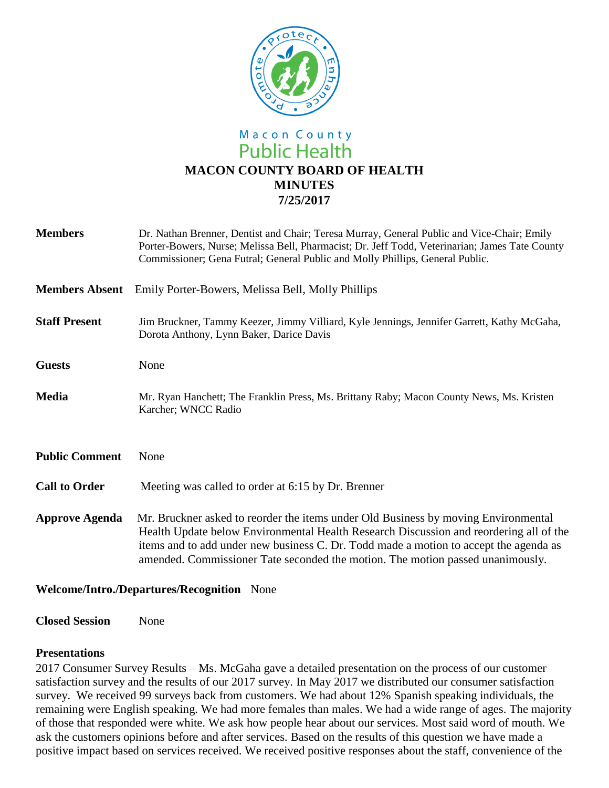

# Macon County **Public Health MACON COUNTY BOARD OF HEALTH MINUTES 7/25/2017**

| <b>Members</b>        | Dr. Nathan Brenner, Dentist and Chair; Teresa Murray, General Public and Vice-Chair; Emily<br>Porter-Bowers, Nurse; Melissa Bell, Pharmacist; Dr. Jeff Todd, Veterinarian; James Tate County<br>Commissioner; Gena Futral; General Public and Molly Phillips, General Public.                                                                           |
|-----------------------|---------------------------------------------------------------------------------------------------------------------------------------------------------------------------------------------------------------------------------------------------------------------------------------------------------------------------------------------------------|
| <b>Members Absent</b> | Emily Porter-Bowers, Melissa Bell, Molly Phillips                                                                                                                                                                                                                                                                                                       |
| <b>Staff Present</b>  | Jim Bruckner, Tammy Keezer, Jimmy Villiard, Kyle Jennings, Jennifer Garrett, Kathy McGaha,<br>Dorota Anthony, Lynn Baker, Darice Davis                                                                                                                                                                                                                  |
| <b>Guests</b>         | None                                                                                                                                                                                                                                                                                                                                                    |
| <b>Media</b>          | Mr. Ryan Hanchett; The Franklin Press, Ms. Brittany Raby; Macon County News, Ms. Kristen<br>Karcher; WNCC Radio                                                                                                                                                                                                                                         |
| <b>Public Comment</b> | None                                                                                                                                                                                                                                                                                                                                                    |
| <b>Call to Order</b>  | Meeting was called to order at 6:15 by Dr. Brenner                                                                                                                                                                                                                                                                                                      |
| <b>Approve Agenda</b> | Mr. Bruckner asked to reorder the items under Old Business by moving Environmental<br>Health Update below Environmental Health Research Discussion and reordering all of the<br>items and to add under new business C. Dr. Todd made a motion to accept the agenda as<br>amended. Commissioner Tate seconded the motion. The motion passed unanimously. |

# **Welcome/Intro./Departures/Recognition** None

**Closed Session** None

### **Presentations**

2017 Consumer Survey Results – Ms. McGaha gave a detailed presentation on the process of our customer satisfaction survey and the results of our 2017 survey. In May 2017 we distributed our consumer satisfaction survey. We received 99 surveys back from customers. We had about 12% Spanish speaking individuals, the remaining were English speaking. We had more females than males. We had a wide range of ages. The majority of those that responded were white. We ask how people hear about our services. Most said word of mouth. We ask the customers opinions before and after services. Based on the results of this question we have made a positive impact based on services received. We received positive responses about the staff, convenience of the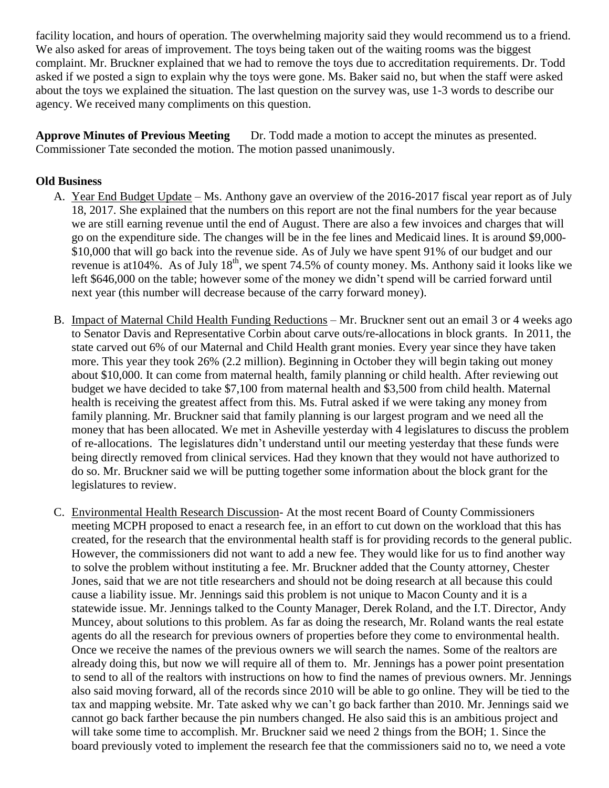facility location, and hours of operation. The overwhelming majority said they would recommend us to a friend. We also asked for areas of improvement. The toys being taken out of the waiting rooms was the biggest complaint. Mr. Bruckner explained that we had to remove the toys due to accreditation requirements. Dr. Todd asked if we posted a sign to explain why the toys were gone. Ms. Baker said no, but when the staff were asked about the toys we explained the situation. The last question on the survey was, use 1-3 words to describe our agency. We received many compliments on this question.

**Approve Minutes of Previous Meeting** Dr. Todd made a motion to accept the minutes as presented. Commissioner Tate seconded the motion. The motion passed unanimously.

# **Old Business**

- A. Year End Budget Update Ms. Anthony gave an overview of the 2016-2017 fiscal year report as of July 18, 2017. She explained that the numbers on this report are not the final numbers for the year because we are still earning revenue until the end of August. There are also a few invoices and charges that will go on the expenditure side. The changes will be in the fee lines and Medicaid lines. It is around \$9,000- \$10,000 that will go back into the revenue side. As of July we have spent 91% of our budget and our revenue is at  $104\%$ . As of July  $18^{th}$ , we spent 74.5% of county money. Ms. Anthony said it looks like we left \$646,000 on the table; however some of the money we didn't spend will be carried forward until next year (this number will decrease because of the carry forward money).
- B. Impact of Maternal Child Health Funding Reductions Mr. Bruckner sent out an email 3 or 4 weeks ago to Senator Davis and Representative Corbin about carve outs/re-allocations in block grants. In 2011, the state carved out 6% of our Maternal and Child Health grant monies. Every year since they have taken more. This year they took 26% (2.2 million). Beginning in October they will begin taking out money about \$10,000. It can come from maternal health, family planning or child health. After reviewing out budget we have decided to take \$7,100 from maternal health and \$3,500 from child health. Maternal health is receiving the greatest affect from this. Ms. Futral asked if we were taking any money from family planning. Mr. Bruckner said that family planning is our largest program and we need all the money that has been allocated. We met in Asheville yesterday with 4 legislatures to discuss the problem of re-allocations. The legislatures didn't understand until our meeting yesterday that these funds were being directly removed from clinical services. Had they known that they would not have authorized to do so. Mr. Bruckner said we will be putting together some information about the block grant for the legislatures to review.
- C. Environmental Health Research Discussion- At the most recent Board of County Commissioners meeting MCPH proposed to enact a research fee, in an effort to cut down on the workload that this has created, for the research that the environmental health staff is for providing records to the general public. However, the commissioners did not want to add a new fee. They would like for us to find another way to solve the problem without instituting a fee. Mr. Bruckner added that the County attorney, Chester Jones, said that we are not title researchers and should not be doing research at all because this could cause a liability issue. Mr. Jennings said this problem is not unique to Macon County and it is a statewide issue. Mr. Jennings talked to the County Manager, Derek Roland, and the I.T. Director, Andy Muncey, about solutions to this problem. As far as doing the research, Mr. Roland wants the real estate agents do all the research for previous owners of properties before they come to environmental health. Once we receive the names of the previous owners we will search the names. Some of the realtors are already doing this, but now we will require all of them to. Mr. Jennings has a power point presentation to send to all of the realtors with instructions on how to find the names of previous owners. Mr. Jennings also said moving forward, all of the records since 2010 will be able to go online. They will be tied to the tax and mapping website. Mr. Tate asked why we can't go back farther than 2010. Mr. Jennings said we cannot go back farther because the pin numbers changed. He also said this is an ambitious project and will take some time to accomplish. Mr. Bruckner said we need 2 things from the BOH; 1. Since the board previously voted to implement the research fee that the commissioners said no to, we need a vote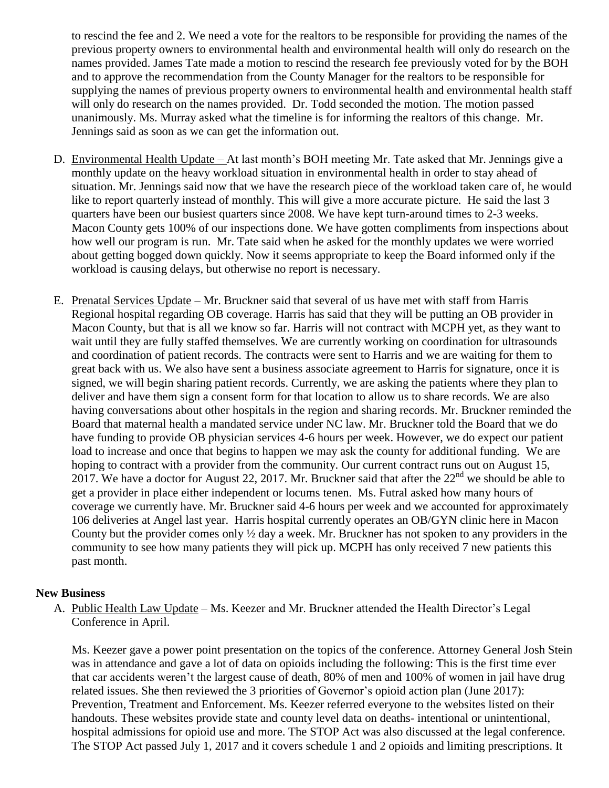to rescind the fee and 2. We need a vote for the realtors to be responsible for providing the names of the previous property owners to environmental health and environmental health will only do research on the names provided. James Tate made a motion to rescind the research fee previously voted for by the BOH and to approve the recommendation from the County Manager for the realtors to be responsible for supplying the names of previous property owners to environmental health and environmental health staff will only do research on the names provided. Dr. Todd seconded the motion. The motion passed unanimously. Ms. Murray asked what the timeline is for informing the realtors of this change. Mr. Jennings said as soon as we can get the information out.

- D. Environmental Health Update At last month's BOH meeting Mr. Tate asked that Mr. Jennings give a monthly update on the heavy workload situation in environmental health in order to stay ahead of situation. Mr. Jennings said now that we have the research piece of the workload taken care of, he would like to report quarterly instead of monthly. This will give a more accurate picture. He said the last 3 quarters have been our busiest quarters since 2008. We have kept turn-around times to 2-3 weeks. Macon County gets 100% of our inspections done. We have gotten compliments from inspections about how well our program is run. Mr. Tate said when he asked for the monthly updates we were worried about getting bogged down quickly. Now it seems appropriate to keep the Board informed only if the workload is causing delays, but otherwise no report is necessary.
- E. Prenatal Services Update Mr. Bruckner said that several of us have met with staff from Harris Regional hospital regarding OB coverage. Harris has said that they will be putting an OB provider in Macon County, but that is all we know so far. Harris will not contract with MCPH yet, as they want to wait until they are fully staffed themselves. We are currently working on coordination for ultrasounds and coordination of patient records. The contracts were sent to Harris and we are waiting for them to great back with us. We also have sent a business associate agreement to Harris for signature, once it is signed, we will begin sharing patient records. Currently, we are asking the patients where they plan to deliver and have them sign a consent form for that location to allow us to share records. We are also having conversations about other hospitals in the region and sharing records. Mr. Bruckner reminded the Board that maternal health a mandated service under NC law. Mr. Bruckner told the Board that we do have funding to provide OB physician services 4-6 hours per week. However, we do expect our patient load to increase and once that begins to happen we may ask the county for additional funding. We are hoping to contract with a provider from the community. Our current contract runs out on August 15, 2017. We have a doctor for August 22, 2017. Mr. Bruckner said that after the  $22<sup>nd</sup>$  we should be able to get a provider in place either independent or locums tenen. Ms. Futral asked how many hours of coverage we currently have. Mr. Bruckner said 4-6 hours per week and we accounted for approximately 106 deliveries at Angel last year. Harris hospital currently operates an OB/GYN clinic here in Macon County but the provider comes only ½ day a week. Mr. Bruckner has not spoken to any providers in the community to see how many patients they will pick up. MCPH has only received 7 new patients this past month.

#### **New Business**

A. Public Health Law Update – Ms. Keezer and Mr. Bruckner attended the Health Director's Legal Conference in April.

Ms. Keezer gave a power point presentation on the topics of the conference. Attorney General Josh Stein was in attendance and gave a lot of data on opioids including the following: This is the first time ever that car accidents weren't the largest cause of death, 80% of men and 100% of women in jail have drug related issues. She then reviewed the 3 priorities of Governor's opioid action plan (June 2017): Prevention, Treatment and Enforcement. Ms. Keezer referred everyone to the websites listed on their handouts. These websites provide state and county level data on deaths- intentional or unintentional, hospital admissions for opioid use and more. The STOP Act was also discussed at the legal conference. The STOP Act passed July 1, 2017 and it covers schedule 1 and 2 opioids and limiting prescriptions. It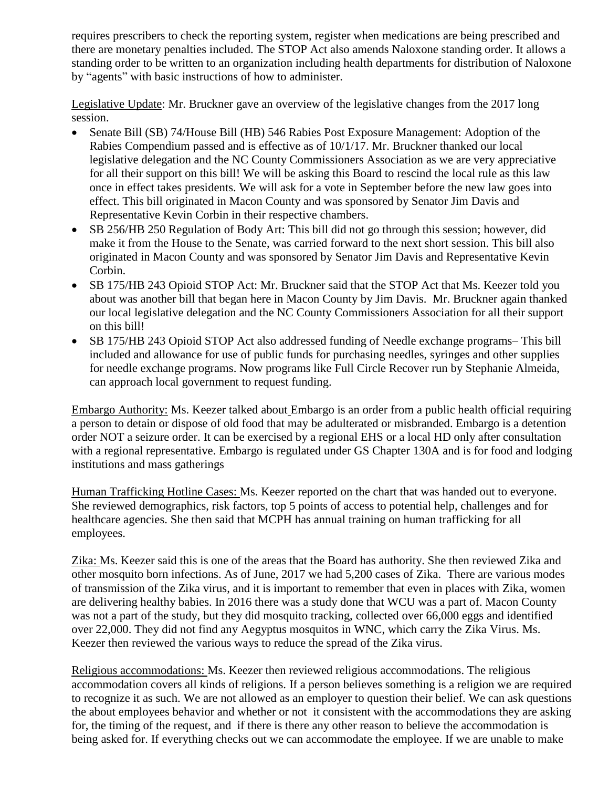requires prescribers to check the reporting system, register when medications are being prescribed and there are monetary penalties included. The STOP Act also amends Naloxone standing order. It allows a standing order to be written to an organization including health departments for distribution of Naloxone by "agents" with basic instructions of how to administer.

Legislative Update: Mr. Bruckner gave an overview of the legislative changes from the 2017 long session.

- Senate Bill (SB) 74/House Bill (HB) 546 Rabies Post Exposure Management: Adoption of the Rabies Compendium passed and is effective as of 10/1/17. Mr. Bruckner thanked our local legislative delegation and the NC County Commissioners Association as we are very appreciative for all their support on this bill! We will be asking this Board to rescind the local rule as this law once in effect takes presidents. We will ask for a vote in September before the new law goes into effect. This bill originated in Macon County and was sponsored by Senator Jim Davis and Representative Kevin Corbin in their respective chambers.
- SB 256/HB 250 Regulation of Body Art: This bill did not go through this session; however, did make it from the House to the Senate, was carried forward to the next short session. This bill also originated in Macon County and was sponsored by Senator Jim Davis and Representative Kevin Corbin.
- SB 175/HB 243 Opioid STOP Act: Mr. Bruckner said that the STOP Act that Ms. Keezer told you about was another bill that began here in Macon County by Jim Davis. Mr. Bruckner again thanked our local legislative delegation and the NC County Commissioners Association for all their support on this bill!
- SB 175/HB 243 Opioid STOP Act also addressed funding of Needle exchange programs– This bill included and allowance for use of public funds for purchasing needles, syringes and other supplies for needle exchange programs. Now programs like Full Circle Recover run by Stephanie Almeida, can approach local government to request funding.

Embargo Authority: Ms. Keezer talked about Embargo is an order from a public health official requiring a person to detain or dispose of old food that may be adulterated or misbranded. Embargo is a detention order NOT a seizure order. It can be exercised by a regional EHS or a local HD only after consultation with a regional representative. Embargo is regulated under GS Chapter 130A and is for food and lodging institutions and mass gatherings

Human Trafficking Hotline Cases: Ms. Keezer reported on the chart that was handed out to everyone. She reviewed demographics, risk factors, top 5 points of access to potential help, challenges and for healthcare agencies. She then said that MCPH has annual training on human trafficking for all employees.

Zika: Ms. Keezer said this is one of the areas that the Board has authority. She then reviewed Zika and other mosquito born infections. As of June, 2017 we had 5,200 cases of Zika. There are various modes of transmission of the Zika virus, and it is important to remember that even in places with Zika, women are delivering healthy babies. In 2016 there was a study done that WCU was a part of. Macon County was not a part of the study, but they did mosquito tracking, collected over 66,000 eggs and identified over 22,000. They did not find any Aegyptus mosquitos in WNC, which carry the Zika Virus. Ms. Keezer then reviewed the various ways to reduce the spread of the Zika virus.

Religious accommodations: Ms. Keezer then reviewed religious accommodations. The religious accommodation covers all kinds of religions. If a person believes something is a religion we are required to recognize it as such. We are not allowed as an employer to question their belief. We can ask questions the about employees behavior and whether or not it consistent with the accommodations they are asking for, the timing of the request, and if there is there any other reason to believe the accommodation is being asked for. If everything checks out we can accommodate the employee. If we are unable to make